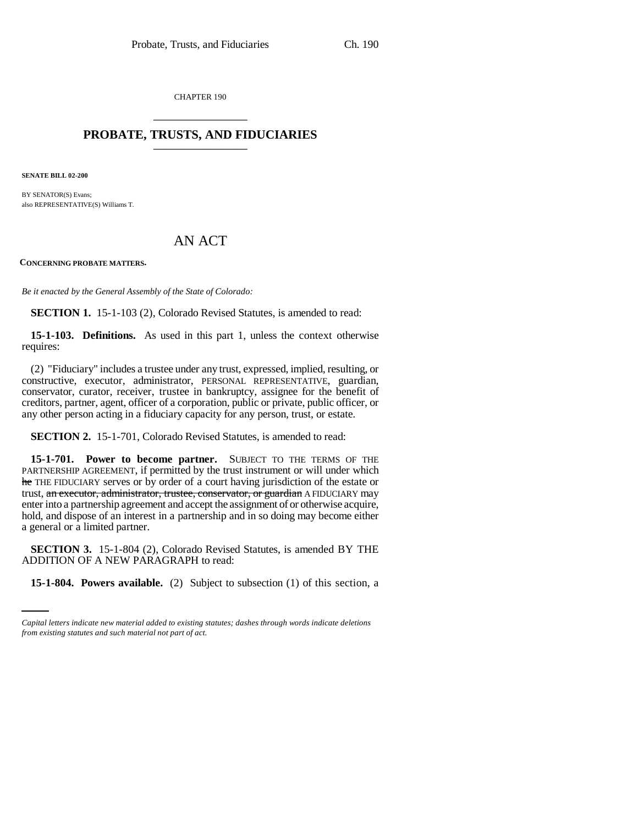CHAPTER 190 \_\_\_\_\_\_\_\_\_\_\_\_\_\_\_

## **PROBATE, TRUSTS, AND FIDUCIARIES** \_\_\_\_\_\_\_\_\_\_\_\_\_\_\_

**SENATE BILL 02-200**

BY SENATOR(S) Evans; also REPRESENTATIVE(S) Williams T.

## AN ACT

**CONCERNING PROBATE MATTERS.**

*Be it enacted by the General Assembly of the State of Colorado:*

**SECTION 1.** 15-1-103 (2), Colorado Revised Statutes, is amended to read:

**15-1-103. Definitions.** As used in this part 1, unless the context otherwise requires:

(2) "Fiduciary" includes a trustee under any trust, expressed, implied, resulting, or constructive, executor, administrator, PERSONAL REPRESENTATIVE, guardian, conservator, curator, receiver, trustee in bankruptcy, assignee for the benefit of creditors, partner, agent, officer of a corporation, public or private, public officer, or any other person acting in a fiduciary capacity for any person, trust, or estate.

**SECTION 2.** 15-1-701, Colorado Revised Statutes, is amended to read:

**15-1-701. Power to become partner.** SUBJECT TO THE TERMS OF THE PARTNERSHIP AGREEMENT, if permitted by the trust instrument or will under which he THE FIDUCIARY serves or by order of a court having jurisdiction of the estate or trust, an executor, administrator, trustee, conservator, or guardian A FIDUCIARY may enter into a partnership agreement and accept the assignment of or otherwise acquire, hold, and dispose of an interest in a partnership and in so doing may become either a general or a limited partner.

ADDITION OF A NEW PARAGRAPH to read: **SECTION 3.** 15-1-804 (2), Colorado Revised Statutes, is amended BY THE

**15-1-804. Powers available.** (2) Subject to subsection (1) of this section, a

*Capital letters indicate new material added to existing statutes; dashes through words indicate deletions from existing statutes and such material not part of act.*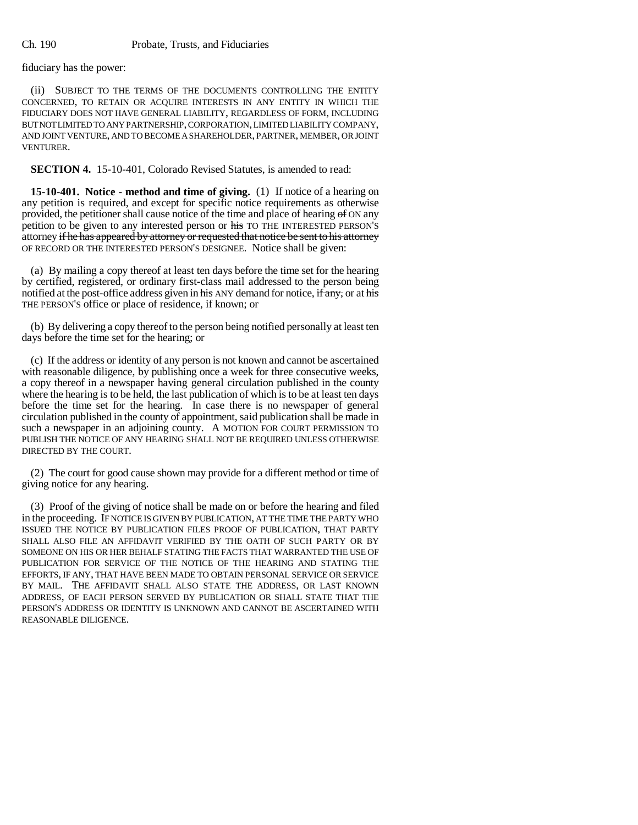fiduciary has the power:

(ii) SUBJECT TO THE TERMS OF THE DOCUMENTS CONTROLLING THE ENTITY CONCERNED, TO RETAIN OR ACQUIRE INTERESTS IN ANY ENTITY IN WHICH THE FIDUCIARY DOES NOT HAVE GENERAL LIABILITY, REGARDLESS OF FORM, INCLUDING BUT NOT LIMITED TO ANY PARTNERSHIP, CORPORATION, LIMITED LIABILITY COMPANY, AND JOINT VENTURE, AND TO BECOME A SHAREHOLDER, PARTNER, MEMBER, OR JOINT VENTURER.

**SECTION 4.** 15-10-401, Colorado Revised Statutes, is amended to read:

**15-10-401. Notice - method and time of giving.** (1) If notice of a hearing on any petition is required, and except for specific notice requirements as otherwise provided, the petitioner shall cause notice of the time and place of hearing  $\Theta$  ON any petition to be given to any interested person or his TO THE INTERESTED PERSON'S attorney if he has appeared by attorney or requested that notice be sent to his attorney OF RECORD OR THE INTERESTED PERSON'S DESIGNEE. Notice shall be given:

(a) By mailing a copy thereof at least ten days before the time set for the hearing by certified, registered, or ordinary first-class mail addressed to the person being notified at the post-office address given in his ANY demand for notice, if any, or at his THE PERSON'S office or place of residence, if known; or

(b) By delivering a copy thereof to the person being notified personally at least ten days before the time set for the hearing; or

(c) If the address or identity of any person is not known and cannot be ascertained with reasonable diligence, by publishing once a week for three consecutive weeks, a copy thereof in a newspaper having general circulation published in the county where the hearing is to be held, the last publication of which is to be at least ten days before the time set for the hearing. In case there is no newspaper of general circulation published in the county of appointment, said publication shall be made in such a newspaper in an adjoining county. A MOTION FOR COURT PERMISSION TO PUBLISH THE NOTICE OF ANY HEARING SHALL NOT BE REQUIRED UNLESS OTHERWISE DIRECTED BY THE COURT.

(2) The court for good cause shown may provide for a different method or time of giving notice for any hearing.

(3) Proof of the giving of notice shall be made on or before the hearing and filed in the proceeding. IF NOTICE IS GIVEN BY PUBLICATION, AT THE TIME THE PARTY WHO ISSUED THE NOTICE BY PUBLICATION FILES PROOF OF PUBLICATION, THAT PARTY SHALL ALSO FILE AN AFFIDAVIT VERIFIED BY THE OATH OF SUCH PARTY OR BY SOMEONE ON HIS OR HER BEHALF STATING THE FACTS THAT WARRANTED THE USE OF PUBLICATION FOR SERVICE OF THE NOTICE OF THE HEARING AND STATING THE EFFORTS, IF ANY, THAT HAVE BEEN MADE TO OBTAIN PERSONAL SERVICE OR SERVICE BY MAIL. THE AFFIDAVIT SHALL ALSO STATE THE ADDRESS, OR LAST KNOWN ADDRESS, OF EACH PERSON SERVED BY PUBLICATION OR SHALL STATE THAT THE PERSON'S ADDRESS OR IDENTITY IS UNKNOWN AND CANNOT BE ASCERTAINED WITH REASONABLE DILIGENCE.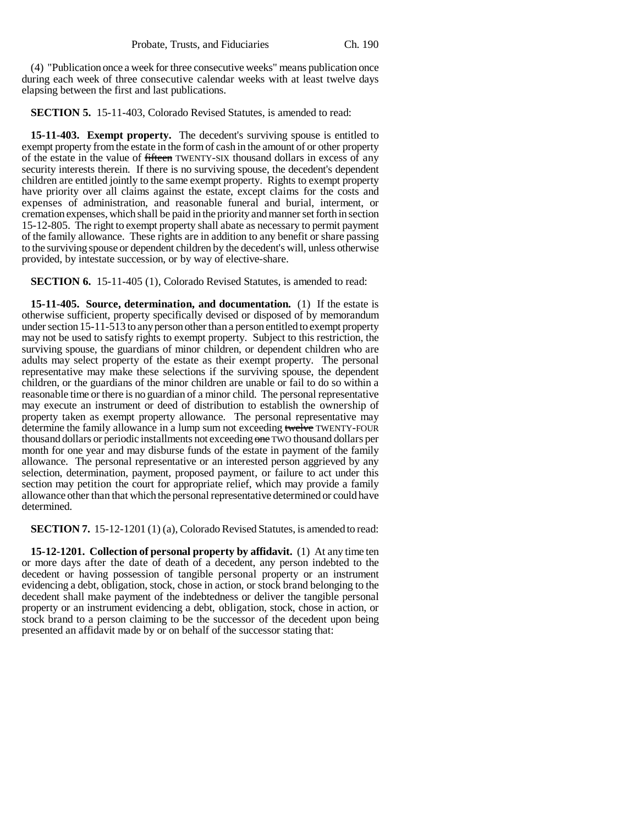(4) "Publication once a week for three consecutive weeks" means publication once during each week of three consecutive calendar weeks with at least twelve days elapsing between the first and last publications.

**SECTION 5.** 15-11-403, Colorado Revised Statutes, is amended to read:

**15-11-403. Exempt property.** The decedent's surviving spouse is entitled to exempt property from the estate in the form of cash in the amount of or other property of the estate in the value of fifteen TWENTY-SIX thousand dollars in excess of any security interests therein. If there is no surviving spouse, the decedent's dependent children are entitled jointly to the same exempt property. Rights to exempt property have priority over all claims against the estate, except claims for the costs and expenses of administration, and reasonable funeral and burial, interment, or cremation expenses, which shall be paid in the priority and manner set forth in section 15-12-805. The right to exempt property shall abate as necessary to permit payment of the family allowance. These rights are in addition to any benefit or share passing to the surviving spouse or dependent children by the decedent's will, unless otherwise provided, by intestate succession, or by way of elective-share.

**SECTION 6.** 15-11-405 (1), Colorado Revised Statutes, is amended to read:

**15-11-405. Source, determination, and documentation.** (1) If the estate is otherwise sufficient, property specifically devised or disposed of by memorandum under section 15-11-513 to any person other than a person entitled to exempt property may not be used to satisfy rights to exempt property. Subject to this restriction, the surviving spouse, the guardians of minor children, or dependent children who are adults may select property of the estate as their exempt property. The personal representative may make these selections if the surviving spouse, the dependent children, or the guardians of the minor children are unable or fail to do so within a reasonable time or there is no guardian of a minor child. The personal representative may execute an instrument or deed of distribution to establish the ownership of property taken as exempt property allowance. The personal representative may determine the family allowance in a lump sum not exceeding twelve TWENTY-FOUR thousand dollars or periodic installments not exceeding one TWO thousand dollars per month for one year and may disburse funds of the estate in payment of the family allowance. The personal representative or an interested person aggrieved by any selection, determination, payment, proposed payment, or failure to act under this section may petition the court for appropriate relief, which may provide a family allowance other than that which the personal representative determined or could have determined.

**SECTION 7.** 15-12-1201 (1) (a), Colorado Revised Statutes, is amended to read:

**15-12-1201. Collection of personal property by affidavit.** (1) At any time ten or more days after the date of death of a decedent, any person indebted to the decedent or having possession of tangible personal property or an instrument evidencing a debt, obligation, stock, chose in action, or stock brand belonging to the decedent shall make payment of the indebtedness or deliver the tangible personal property or an instrument evidencing a debt, obligation, stock, chose in action, or stock brand to a person claiming to be the successor of the decedent upon being presented an affidavit made by or on behalf of the successor stating that: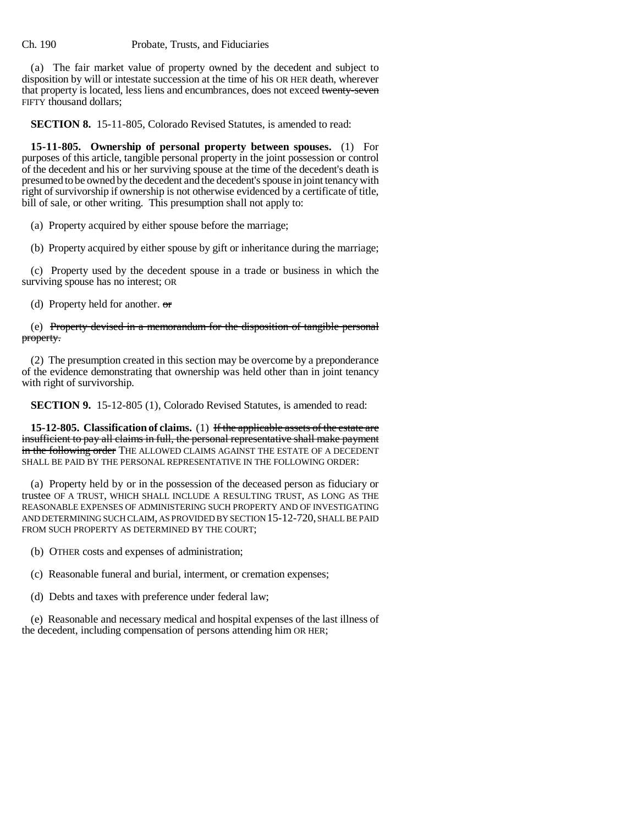## Ch. 190 Probate, Trusts, and Fiduciaries

(a) The fair market value of property owned by the decedent and subject to disposition by will or intestate succession at the time of his OR HER death, wherever that property is located, less liens and encumbrances, does not exceed twenty-seven FIFTY thousand dollars;

**SECTION 8.** 15-11-805, Colorado Revised Statutes, is amended to read:

**15-11-805. Ownership of personal property between spouses.** (1) For purposes of this article, tangible personal property in the joint possession or control of the decedent and his or her surviving spouse at the time of the decedent's death is presumed to be owned by the decedent and the decedent's spouse in joint tenancy with right of survivorship if ownership is not otherwise evidenced by a certificate of title, bill of sale, or other writing. This presumption shall not apply to:

(a) Property acquired by either spouse before the marriage;

(b) Property acquired by either spouse by gift or inheritance during the marriage;

(c) Property used by the decedent spouse in a trade or business in which the surviving spouse has no interest; OR

(d) Property held for another. or

(e) Property devised in a memorandum for the disposition of tangible personal property.

(2) The presumption created in this section may be overcome by a preponderance of the evidence demonstrating that ownership was held other than in joint tenancy with right of survivorship.

**SECTION 9.** 15-12-805 (1), Colorado Revised Statutes, is amended to read:

**15-12-805. Classification of claims.** (1) If the applicable assets of the estate are insufficient to pay all claims in full, the personal representative shall make payment in the following order THE ALLOWED CLAIMS AGAINST THE ESTATE OF A DECEDENT SHALL BE PAID BY THE PERSONAL REPRESENTATIVE IN THE FOLLOWING ORDER:

(a) Property held by or in the possession of the deceased person as fiduciary or trustee OF A TRUST, WHICH SHALL INCLUDE A RESULTING TRUST, AS LONG AS THE REASONABLE EXPENSES OF ADMINISTERING SUCH PROPERTY AND OF INVESTIGATING AND DETERMINING SUCH CLAIM, AS PROVIDED BY SECTION 15-12-720, SHALL BE PAID FROM SUCH PROPERTY AS DETERMINED BY THE COURT;

(b) OTHER costs and expenses of administration;

(c) Reasonable funeral and burial, interment, or cremation expenses;

(d) Debts and taxes with preference under federal law;

(e) Reasonable and necessary medical and hospital expenses of the last illness of the decedent, including compensation of persons attending him OR HER;